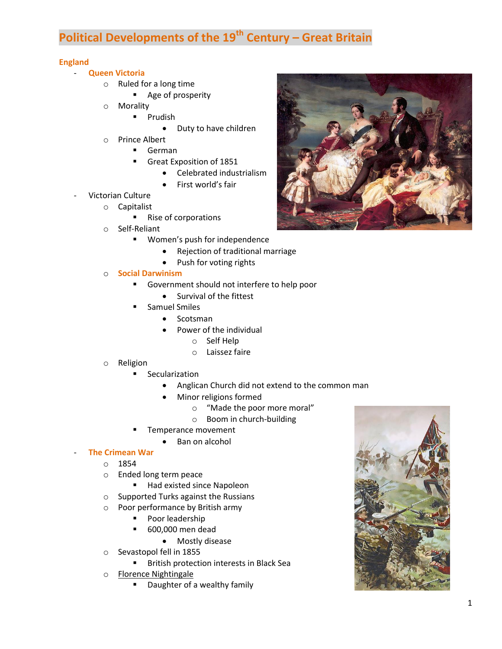# **Political Developments of the 19th Century – Great Britain**

## **England**

- **Queen Victoria**
	- o Ruled for a long time
		- **Age of prosperity**
	- o Morality
		- **Prudish** 
			- Duty to have children
	- o Prince Albert
		- German
		- Great Exposition of 1851
			- Celebrated industrialism
				- First world's fair
- Victorian Culture
	- o Capitalist
		- Rise of corporations
	- o Self-Reliant
		- **Women's push for independence** 
			- Rejection of traditional marriage
			- Push for voting rights
	- o **Social Darwinism**
		- **Government should not interfere to help poor** 
			- Survival of the fittest
		- Samuel Smiles
			- Scotsman
			- Power of the individual
				- o Self Help
				- o Laissez faire
	- o Religion
		- **Secularization** 
			- Anglican Church did not extend to the common man
			- Minor religions formed
				- o "Made the poor more moral"
				- o Boom in church-building
			- Temperance movement
				- Ban on alcohol

## - **The Crimean War**

- o 1854
- o Ended long term peace
	- Had existed since Napoleon
- o Supported Turks against the Russians
- o Poor performance by British army
	- **Poor leadership**
	- 600,000 men dead
		- Mostly disease
- o Sevastopol fell in 1855
	- **British protection interests in Black Sea**
- o Florence Nightingale
	- Daughter of a wealthy family



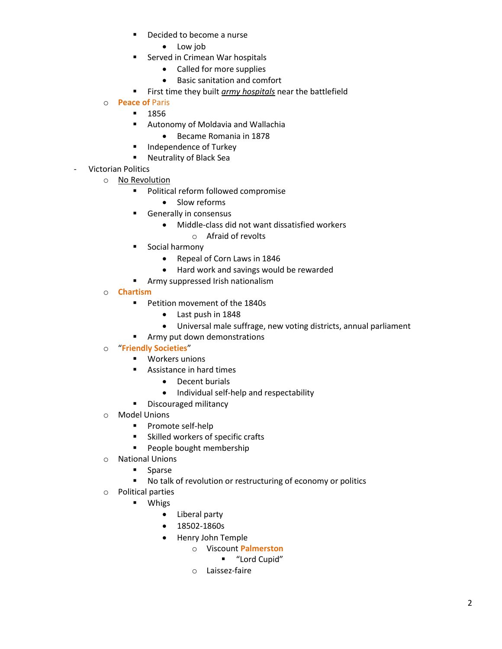- **•** Decided to become a nurse
	- Low job
- **Served in Crimean War hospitals** 
	- Called for more supplies
	- Basic sanitation and comfort
- First time they built *army hospitals* near the battlefield
- o **Peace of** Paris
	- $-1856$
	- **Autonomy of Moldavia and Wallachia** 
		- Became Romania in 1878
	- **Independence of Turkey**
	- **Neutrality of Black Sea**
- Victorian Politics
	- o No Revolution
		- **Political reform followed compromise** 
			- Slow reforms
		- **Generally in consensus** 
			- Middle-class did not want dissatisfied workers
				- o Afraid of revolts
		- **Social harmony** 
			- Repeal of Corn Laws in 1846
			- Hard work and savings would be rewarded
		- **Army suppressed Irish nationalism**
	- o **Chartism**
		- **Petition movement of the 1840s** 
			- Last push in 1848
			- Universal male suffrage, new voting districts, annual parliament
		- **Army put down demonstrations**

# o "**Friendly Societies**"

- **•** Workers unions
- **Assistance in hard times** 
	- Decent burials
	- Individual self-help and respectability
- **Discouraged militancy**
- o Model Unions
	- **Promote self-help**
	- **Skilled workers of specific crafts**
	- **People bought membership**
- o National Unions
	- **Sparse**
	- No talk of revolution or restructuring of economy or politics
- o Political parties
	- **u** Whigs
		- Liberal party
		- 18502-1860s
		- Henry John Temple
			- o Viscount **Palmerston**
				- "Lord Cupid"
			- o Laissez-faire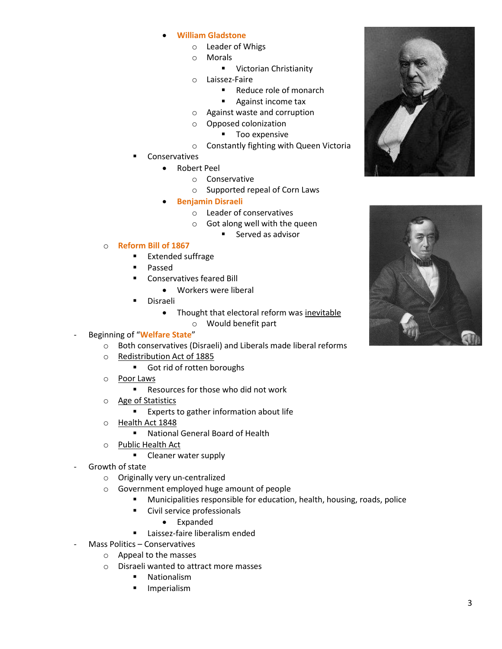- **William Gladstone**
	- o Leader of Whigs
	- o Morals
		- **UI** Victorian Christianity
	- o Laissez-Faire
		- Reduce role of monarch
		- **Against income tax**
	- o Against waste and corruption
	- o Opposed colonization
		- **Too expensive**
	- o Constantly fighting with Queen Victoria
- Conservatives
	- Robert Peel
		- o Conservative
		- o Supported repeal of Corn Laws
	- **Benjamin Disraeli**
		- o Leader of conservatives
		- o Got along well with the queen
			- Served as advisor

### o **Reform Bill of 1867**

- **Extended suffrage**
- **Passed**
- Conservatives feared Bill
	- Workers were liberal
- Disraeli
	- Thought that electoral reform was inevitable o Would benefit part
- Beginning of "**Welfare State**"
	- o Both conservatives (Disraeli) and Liberals made liberal reforms
	- o Redistribution Act of 1885
		- Got rid of rotten boroughs
	- o Poor Laws
		- Resources for those who did not work
	- o Age of Statistics
		- **Experts to gather information about life**
	- o Health Act 1848
		- National General Board of Health
	- o Public Health Act
		- **Cleaner water supply**
- Growth of state
	- o Originally very un-centralized
	- o Government employed huge amount of people
		- Municipalities responsible for education, health, housing, roads, police
		- **Civil service professionals** 
			- Expanded
		- **Laissez-faire liberalism ended**
	- Mass Politics Conservatives
		- o Appeal to the masses
		- o Disraeli wanted to attract more masses
			- Nationalism
				- Imperialism